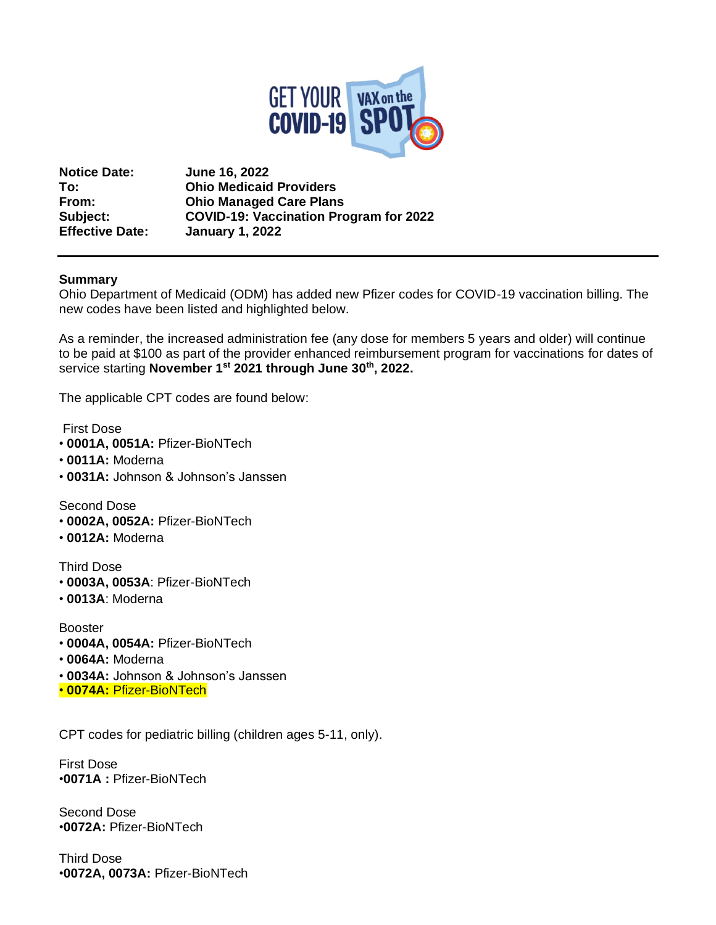

**Notice Date: June 16, 2022 To: Ohio Medicaid Providers From: Ohio Managed Care Plans Subject: COVID-19: Vaccination Program for 2022 Effective Date: January 1, 2022**

## **Summary**

Ohio Department of Medicaid (ODM) has added new Pfizer codes for COVID-19 vaccination billing. The new codes have been listed and highlighted below.

As a reminder, the increased administration fee (any dose for members 5 years and older) will continue to be paid at \$100 as part of the provider enhanced reimbursement program for vaccinations for dates of service starting **November 1st 2021 through June 30th, 2022.**

The applicable CPT codes are found below:

First Dose

- **0001A, 0051A:** Pfizer-BioNTech
- **0011A:** Moderna
- **0031A:** Johnson & Johnson's Janssen

Second Dose

- **0002A, 0052A:** Pfizer-BioNTech
- **0012A:** Moderna

Third Dose

- **0003A, 0053A**: Pfizer-BioNTech
- **0013A**: Moderna

Booster

- **0004A, 0054A:** Pfizer-BioNTech
- **0064A:** Moderna
- **0034A:** Johnson & Johnson's Janssen
- **0074A:** Pfizer-BioNTech

CPT codes for pediatric billing (children ages 5-11, only).

First Dose •**0071A :** Pfizer-BioNTech

Second Dose •**0072A:** Pfizer-BioNTech

Third Dose •**0072A, 0073A:** Pfizer-BioNTech